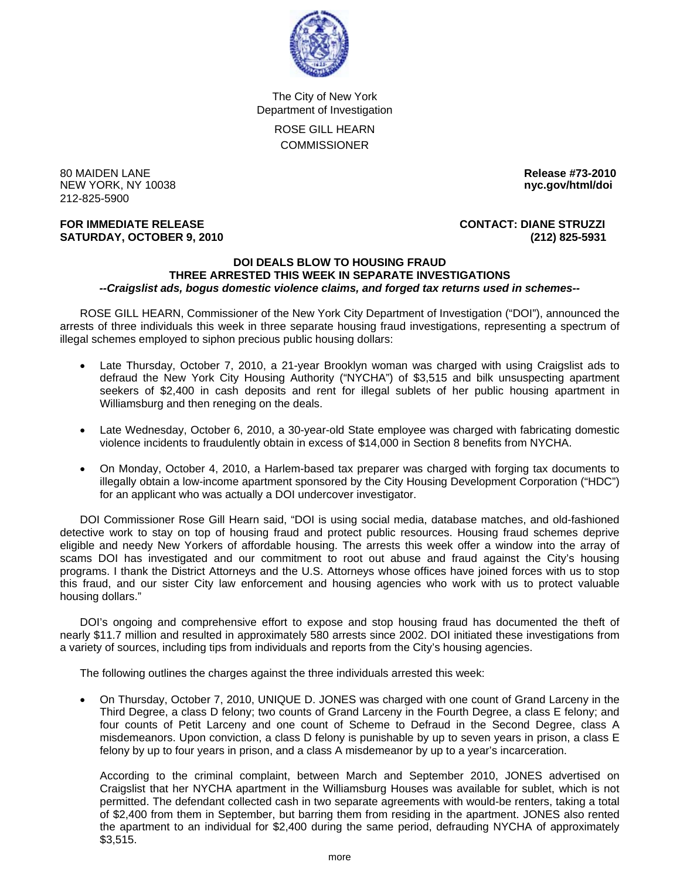

The City of New York Department of Investigation ROSE GILL HEARN **COMMISSIONER** 

80 MAIDEN LANE **Release #73-2010 NEW YORK, NY 10038** 212-825-5900

## **FOR IMMEDIATE RELEASE CONTACT: DIANE STRUZZI SATURDAY, OCTOBER 9, 2010 (212) 825-5931**

## **DOI DEALS BLOW TO HOUSING FRAUD THREE ARRESTED THIS WEEK IN SEPARATE INVESTIGATIONS**  *--Craigslist ads, bogus domestic violence claims, and forged tax returns used in schemes--*

 ROSE GILL HEARN, Commissioner of the New York City Department of Investigation ("DOI"), announced the arrests of three individuals this week in three separate housing fraud investigations, representing a spectrum of illegal schemes employed to siphon precious public housing dollars:

- Late Thursday, October 7, 2010, a 21-year Brooklyn woman was charged with using Craigslist ads to defraud the New York City Housing Authority ("NYCHA") of \$3,515 and bilk unsuspecting apartment seekers of \$2,400 in cash deposits and rent for illegal sublets of her public housing apartment in Williamsburg and then reneging on the deals.
- Late Wednesday, October 6, 2010, a 30-year-old State employee was charged with fabricating domestic violence incidents to fraudulently obtain in excess of \$14,000 in Section 8 benefits from NYCHA.
- On Monday, October 4, 2010, a Harlem-based tax preparer was charged with forging tax documents to illegally obtain a low-income apartment sponsored by the City Housing Development Corporation ("HDC") for an applicant who was actually a DOI undercover investigator.

 DOI Commissioner Rose Gill Hearn said, "DOI is using social media, database matches, and old-fashioned detective work to stay on top of housing fraud and protect public resources. Housing fraud schemes deprive eligible and needy New Yorkers of affordable housing. The arrests this week offer a window into the array of scams DOI has investigated and our commitment to root out abuse and fraud against the City's housing programs. I thank the District Attorneys and the U.S. Attorneys whose offices have joined forces with us to stop this fraud, and our sister City law enforcement and housing agencies who work with us to protect valuable housing dollars."

 DOI's ongoing and comprehensive effort to expose and stop housing fraud has documented the theft of nearly \$11.7 million and resulted in approximately 580 arrests since 2002. DOI initiated these investigations from a variety of sources, including tips from individuals and reports from the City's housing agencies.

The following outlines the charges against the three individuals arrested this week:

• On Thursday, October 7, 2010, UNIQUE D. JONES was charged with one count of Grand Larceny in the Third Degree, a class D felony; two counts of Grand Larceny in the Fourth Degree, a class E felony; and four counts of Petit Larceny and one count of Scheme to Defraud in the Second Degree, class A misdemeanors. Upon conviction, a class D felony is punishable by up to seven years in prison, a class E felony by up to four years in prison, and a class A misdemeanor by up to a year's incarceration.

 According to the criminal complaint, between March and September 2010, JONES advertised on Craigslist that her NYCHA apartment in the Williamsburg Houses was available for sublet, which is not permitted. The defendant collected cash in two separate agreements with would-be renters, taking a total of \$2,400 from them in September, but barring them from residing in the apartment. JONES also rented the apartment to an individual for \$2,400 during the same period, defrauding NYCHA of approximately \$3,515.